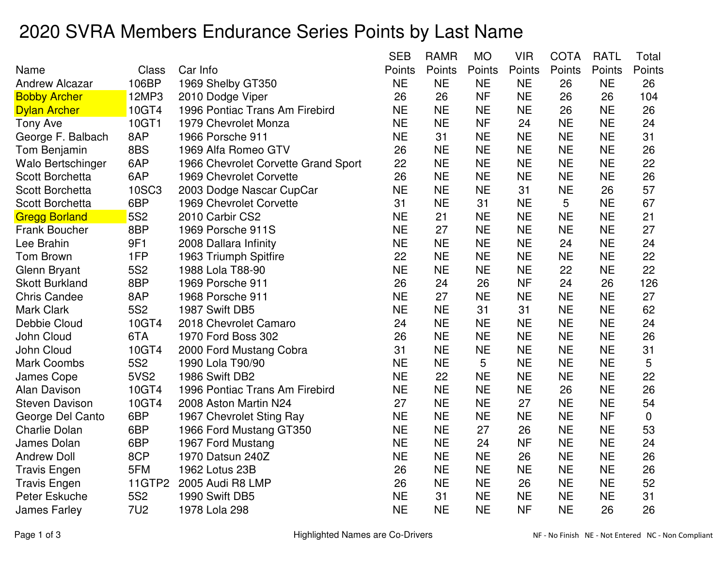## 2020 SVRA Members Endurance Series Points by Last Name

|                        |                 |                                     | <b>SEB</b> | <b>RAMR</b> | <b>MO</b> | <b>VIR</b> | <b>COTA</b> | <b>RATL</b> | Total  |
|------------------------|-----------------|-------------------------------------|------------|-------------|-----------|------------|-------------|-------------|--------|
| Name                   | Class           | Car Info                            | Points     | Points      | Points    | Points     | Points      | Points      | Points |
| <b>Andrew Alcazar</b>  | 106BP           | 1969 Shelby GT350                   | <b>NE</b>  | <b>NE</b>   | <b>NE</b> | <b>NE</b>  | 26          | <b>NE</b>   | 26     |
| <b>Bobby Archer</b>    | 12MP3           | 2010 Dodge Viper                    | 26         | 26          | <b>NF</b> | <b>NE</b>  | 26          | 26          | 104    |
| <b>Dylan Archer</b>    | 10GT4           | 1996 Pontiac Trans Am Firebird      | <b>NE</b>  | <b>NE</b>   | <b>NE</b> | <b>NE</b>  | 26          | <b>NE</b>   | 26     |
| <b>Tony Ave</b>        | 10GT1           | 1979 Chevrolet Monza                | <b>NE</b>  | <b>NE</b>   | <b>NF</b> | 24         | <b>NE</b>   | <b>NE</b>   | 24     |
| George F. Balbach      | 8AP             | 1966 Porsche 911                    | <b>NE</b>  | 31          | <b>NE</b> | <b>NE</b>  | <b>NE</b>   | <b>NE</b>   | 31     |
| Tom Benjamin           | 8BS             | 1969 Alfa Romeo GTV                 | 26         | <b>NE</b>   | <b>NE</b> | <b>NE</b>  | <b>NE</b>   | <b>NE</b>   | 26     |
| Walo Bertschinger      | 6AP             | 1966 Chevrolet Corvette Grand Sport | 22         | <b>NE</b>   | <b>NE</b> | <b>NE</b>  | <b>NE</b>   | <b>NE</b>   | 22     |
| <b>Scott Borchetta</b> | 6AP             | 1969 Chevrolet Corvette             | 26         | <b>NE</b>   | <b>NE</b> | <b>NE</b>  | <b>NE</b>   | <b>NE</b>   | 26     |
| <b>Scott Borchetta</b> | 10SC3           | 2003 Dodge Nascar CupCar            | <b>NE</b>  | <b>NE</b>   | <b>NE</b> | 31         | <b>NE</b>   | 26          | 57     |
| <b>Scott Borchetta</b> | 6BP             | 1969 Chevrolet Corvette             | 31         | <b>NE</b>   | 31        | <b>NE</b>  | 5           | <b>NE</b>   | 67     |
| <b>Gregg Borland</b>   | 5S <sub>2</sub> | 2010 Carbir CS2                     | <b>NE</b>  | 21          | <b>NE</b> | <b>NE</b>  | <b>NE</b>   | <b>NE</b>   | 21     |
| <b>Frank Boucher</b>   | 8BP             | 1969 Porsche 911S                   | <b>NE</b>  | 27          | <b>NE</b> | <b>NE</b>  | <b>NE</b>   | <b>NE</b>   | 27     |
| Lee Brahin             | 9F1             | 2008 Dallara Infinity               | <b>NE</b>  | <b>NE</b>   | <b>NE</b> | <b>NE</b>  | 24          | <b>NE</b>   | 24     |
| Tom Brown              | 1FP             | 1963 Triumph Spitfire               | 22         | <b>NE</b>   | <b>NE</b> | <b>NE</b>  | <b>NE</b>   | <b>NE</b>   | 22     |
| Glenn Bryant           | 5S <sub>2</sub> | 1988 Lola T88-90                    | <b>NE</b>  | <b>NE</b>   | <b>NE</b> | <b>NE</b>  | 22          | <b>NE</b>   | 22     |
| <b>Skott Burkland</b>  | 8BP             | 1969 Porsche 911                    | 26         | 24          | 26        | <b>NF</b>  | 24          | 26          | 126    |
| <b>Chris Candee</b>    | 8AP             | 1968 Porsche 911                    | <b>NE</b>  | 27          | <b>NE</b> | <b>NE</b>  | <b>NE</b>   | <b>NE</b>   | 27     |
| <b>Mark Clark</b>      | <b>5S2</b>      | 1987 Swift DB5                      | <b>NE</b>  | <b>NE</b>   | 31        | 31         | <b>NE</b>   | <b>NE</b>   | 62     |
| Debbie Cloud           | 10GT4           | 2018 Chevrolet Camaro               | 24         | <b>NE</b>   | <b>NE</b> | <b>NE</b>  | <b>NE</b>   | <b>NE</b>   | 24     |
| John Cloud             | 6TA             | 1970 Ford Boss 302                  | 26         | <b>NE</b>   | <b>NE</b> | <b>NE</b>  | <b>NE</b>   | <b>NE</b>   | 26     |
| John Cloud             | 10GT4           | 2000 Ford Mustang Cobra             | 31         | <b>NE</b>   | <b>NE</b> | <b>NE</b>  | <b>NE</b>   | <b>NE</b>   | 31     |
| <b>Mark Coombs</b>     | <b>5S2</b>      | 1990 Lola T90/90                    | <b>NE</b>  | <b>NE</b>   | 5         | <b>NE</b>  | <b>NE</b>   | <b>NE</b>   | 5      |
| <b>James Cope</b>      | <b>5VS2</b>     | 1986 Swift DB2                      | <b>NE</b>  | 22          | <b>NE</b> | <b>NE</b>  | <b>NE</b>   | <b>NE</b>   | 22     |
| <b>Alan Davison</b>    | 10GT4           | 1996 Pontiac Trans Am Firebird      | <b>NE</b>  | <b>NE</b>   | <b>NE</b> | <b>NE</b>  | 26          | <b>NE</b>   | 26     |
| <b>Steven Davison</b>  | 10GT4           | 2008 Aston Martin N24               | 27         | <b>NE</b>   | <b>NE</b> | 27         | <b>NE</b>   | <b>NE</b>   | 54     |
| George Del Canto       | 6BP             | 1967 Chevrolet Sting Ray            | <b>NE</b>  | <b>NE</b>   | <b>NE</b> | <b>NE</b>  | <b>NE</b>   | <b>NF</b>   | 0      |
| <b>Charlie Dolan</b>   | 6BP             | 1966 Ford Mustang GT350             | <b>NE</b>  | <b>NE</b>   | 27        | 26         | <b>NE</b>   | <b>NE</b>   | 53     |
| James Dolan            | 6BP             | 1967 Ford Mustang                   | <b>NE</b>  | <b>NE</b>   | 24        | <b>NF</b>  | <b>NE</b>   | <b>NE</b>   | 24     |
| <b>Andrew Doll</b>     | 8CP             | 1970 Datsun 240Z                    | <b>NE</b>  | <b>NE</b>   | <b>NE</b> | 26         | <b>NE</b>   | <b>NE</b>   | 26     |
| <b>Travis Engen</b>    | 5FM             | 1962 Lotus 23B                      | 26         | <b>NE</b>   | <b>NE</b> | <b>NE</b>  | <b>NE</b>   | <b>NE</b>   | 26     |
| <b>Travis Engen</b>    | 11GTP2          | 2005 Audi R8 LMP                    | 26         | <b>NE</b>   | <b>NE</b> | 26         | <b>NE</b>   | <b>NE</b>   | 52     |
| Peter Eskuche          | <b>5S2</b>      | 1990 Swift DB5                      | <b>NE</b>  | 31          | <b>NE</b> | <b>NE</b>  | <b>NE</b>   | <b>NE</b>   | 31     |
| <b>James Farley</b>    | <b>7U2</b>      | 1978 Lola 298                       | <b>NE</b>  | <b>NE</b>   | <b>NE</b> | <b>NF</b>  | <b>NE</b>   | 26          | 26     |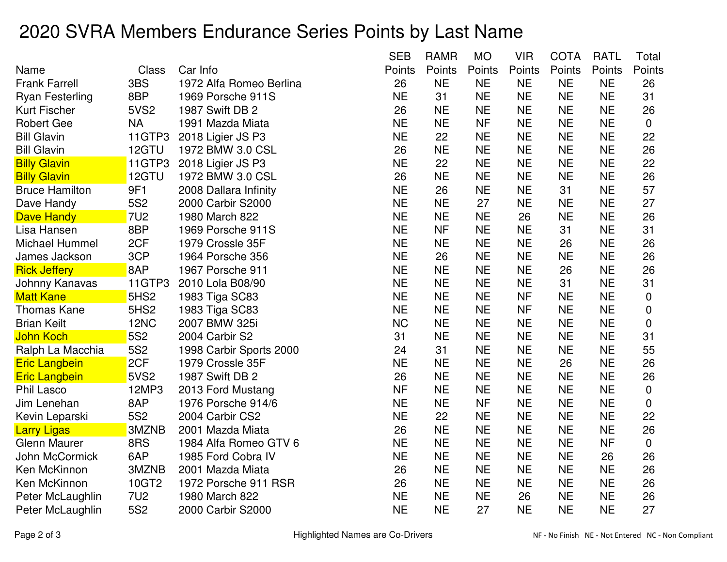## 2020 SVRA Members Endurance Series Points by Last Name

|                        |                  |                         | <b>SEB</b> | <b>RAMR</b> | <b>MO</b> | <b>VIR</b> | <b>COTA</b> | <b>RATL</b> | Total       |
|------------------------|------------------|-------------------------|------------|-------------|-----------|------------|-------------|-------------|-------------|
| Name                   | Class            | Car Info                | Points     | Points      | Points    | Points     | Points      | Points      | Points      |
| <b>Frank Farrell</b>   | 3BS              | 1972 Alfa Romeo Berlina | 26         | <b>NE</b>   | <b>NE</b> | <b>NE</b>  | <b>NE</b>   | <b>NE</b>   | 26          |
| <b>Ryan Festerling</b> | 8BP              | 1969 Porsche 911S       | <b>NE</b>  | 31          | <b>NE</b> | <b>NE</b>  | <b>NE</b>   | <b>NE</b>   | 31          |
| Kurt Fischer           | <b>5VS2</b>      | 1987 Swift DB 2         | 26         | <b>NE</b>   | <b>NE</b> | <b>NE</b>  | <b>NE</b>   | <b>NE</b>   | 26          |
| <b>Robert Gee</b>      | <b>NA</b>        | 1991 Mazda Miata        | <b>NE</b>  | <b>NE</b>   | <b>NF</b> | <b>NE</b>  | <b>NE</b>   | <b>NE</b>   | 0           |
| <b>Bill Glavin</b>     | 11GTP3           | 2018 Ligier JS P3       | <b>NE</b>  | 22          | <b>NE</b> | <b>NE</b>  | <b>NE</b>   | <b>NE</b>   | 22          |
| <b>Bill Glavin</b>     | 12GTU            | 1972 BMW 3.0 CSL        | 26         | <b>NE</b>   | <b>NE</b> | <b>NE</b>  | <b>NE</b>   | <b>NE</b>   | 26          |
| <b>Billy Glavin</b>    | 11GTP3           | 2018 Ligier JS P3       | <b>NE</b>  | 22          | <b>NE</b> | <b>NE</b>  | <b>NE</b>   | <b>NE</b>   | 22          |
| <b>Billy Glavin</b>    | 12GTU            | 1972 BMW 3.0 CSL        | 26         | <b>NE</b>   | <b>NE</b> | <b>NE</b>  | <b>NE</b>   | <b>NE</b>   | 26          |
| <b>Bruce Hamilton</b>  | 9F1              | 2008 Dallara Infinity   | <b>NE</b>  | 26          | <b>NE</b> | <b>NE</b>  | 31          | <b>NE</b>   | 57          |
| Dave Handy             | <b>5S2</b>       | 2000 Carbir S2000       | <b>NE</b>  | <b>NE</b>   | 27        | <b>NE</b>  | <b>NE</b>   | <b>NE</b>   | 27          |
| Dave Handy             | <b>7U2</b>       | 1980 March 822          | <b>NE</b>  | <b>NE</b>   | <b>NE</b> | 26         | <b>NE</b>   | <b>NE</b>   | 26          |
| Lisa Hansen            | 8BP              | 1969 Porsche 911S       | <b>NE</b>  | <b>NF</b>   | <b>NE</b> | <b>NE</b>  | 31          | <b>NE</b>   | 31          |
| Michael Hummel         | 2CF              | 1979 Crossle 35F        | <b>NE</b>  | <b>NE</b>   | <b>NE</b> | <b>NE</b>  | 26          | <b>NE</b>   | 26          |
| James Jackson          | 3CP              | 1964 Porsche 356        | <b>NE</b>  | 26          | <b>NE</b> | <b>NE</b>  | <b>NE</b>   | <b>NE</b>   | 26          |
| <b>Rick Jeffery</b>    | 8AP              | 1967 Porsche 911        | <b>NE</b>  | <b>NE</b>   | <b>NE</b> | <b>NE</b>  | 26          | <b>NE</b>   | 26          |
| Johnny Kanavas         | 11GTP3           | 2010 Lola B08/90        | <b>NE</b>  | <b>NE</b>   | <b>NE</b> | <b>NE</b>  | 31          | <b>NE</b>   | 31          |
| <b>Matt Kane</b>       | 5HS <sub>2</sub> | 1983 Tiga SC83          | <b>NE</b>  | <b>NE</b>   | <b>NE</b> | <b>NF</b>  | <b>NE</b>   | <b>NE</b>   | 0           |
| Thomas Kane            | 5HS <sub>2</sub> | 1983 Tiga SC83          | <b>NE</b>  | <b>NE</b>   | <b>NE</b> | <b>NF</b>  | <b>NE</b>   | <b>NE</b>   | 0           |
| <b>Brian Keilt</b>     | <b>12NC</b>      | 2007 BMW 325i           | <b>NC</b>  | <b>NE</b>   | <b>NE</b> | <b>NE</b>  | <b>NE</b>   | <b>NE</b>   | 0           |
| <mark>John Koch</mark> | 5S <sub>2</sub>  | 2004 Carbir S2          | 31         | <b>NE</b>   | <b>NE</b> | <b>NE</b>  | <b>NE</b>   | <b>NE</b>   | 31          |
| Ralph La Macchia       | <b>5S2</b>       | 1998 Carbir Sports 2000 | 24         | 31          | <b>NE</b> | <b>NE</b>  | <b>NE</b>   | <b>NE</b>   | 55          |
| <b>Eric Langbein</b>   | 2CF              | 1979 Crossle 35F        | <b>NE</b>  | <b>NE</b>   | <b>NE</b> | <b>NE</b>  | 26          | <b>NE</b>   | 26          |
| <b>Eric Langbein</b>   | <b>5VS2</b>      | 1987 Swift DB 2         | 26         | <b>NE</b>   | <b>NE</b> | <b>NE</b>  | <b>NE</b>   | <b>NE</b>   | 26          |
| <b>Phil Lasco</b>      | 12MP3            | 2013 Ford Mustang       | <b>NF</b>  | <b>NE</b>   | <b>NE</b> | <b>NE</b>  | <b>NE</b>   | <b>NE</b>   | 0           |
| Jim Lenehan            | 8AP              | 1976 Porsche 914/6      | <b>NE</b>  | <b>NE</b>   | <b>NF</b> | <b>NE</b>  | <b>NE</b>   | <b>NE</b>   | 0           |
| Kevin Leparski         | <b>5S2</b>       | 2004 Carbir CS2         | <b>NE</b>  | 22          | <b>NE</b> | <b>NE</b>  | <b>NE</b>   | <b>NE</b>   | 22          |
| Larry Ligas            | 3MZNB            | 2001 Mazda Miata        | 26         | <b>NE</b>   | <b>NE</b> | <b>NE</b>  | <b>NE</b>   | <b>NE</b>   | 26          |
| <b>Glenn Maurer</b>    | 8RS              | 1984 Alfa Romeo GTV 6   | <b>NE</b>  | <b>NE</b>   | <b>NE</b> | <b>NE</b>  | <b>NE</b>   | <b>NF</b>   | $\mathbf 0$ |
| John McCormick         | 6AP              | 1985 Ford Cobra IV      | <b>NE</b>  | <b>NE</b>   | <b>NE</b> | <b>NE</b>  | <b>NE</b>   | 26          | 26          |
| Ken McKinnon           | 3MZNB            | 2001 Mazda Miata        | 26         | <b>NE</b>   | <b>NE</b> | <b>NE</b>  | <b>NE</b>   | <b>NE</b>   | 26          |
| Ken McKinnon           | 10GT2            | 1972 Porsche 911 RSR    | 26         | <b>NE</b>   | <b>NE</b> | <b>NE</b>  | <b>NE</b>   | <b>NE</b>   | 26          |
| Peter McLaughlin       | 7U <sub>2</sub>  | 1980 March 822          | <b>NE</b>  | <b>NE</b>   | <b>NE</b> | 26         | <b>NE</b>   | <b>NE</b>   | 26          |
| Peter McLaughlin       | <b>5S2</b>       | 2000 Carbir S2000       | <b>NE</b>  | <b>NE</b>   | 27        | <b>NE</b>  | <b>NE</b>   | <b>NE</b>   | 27          |